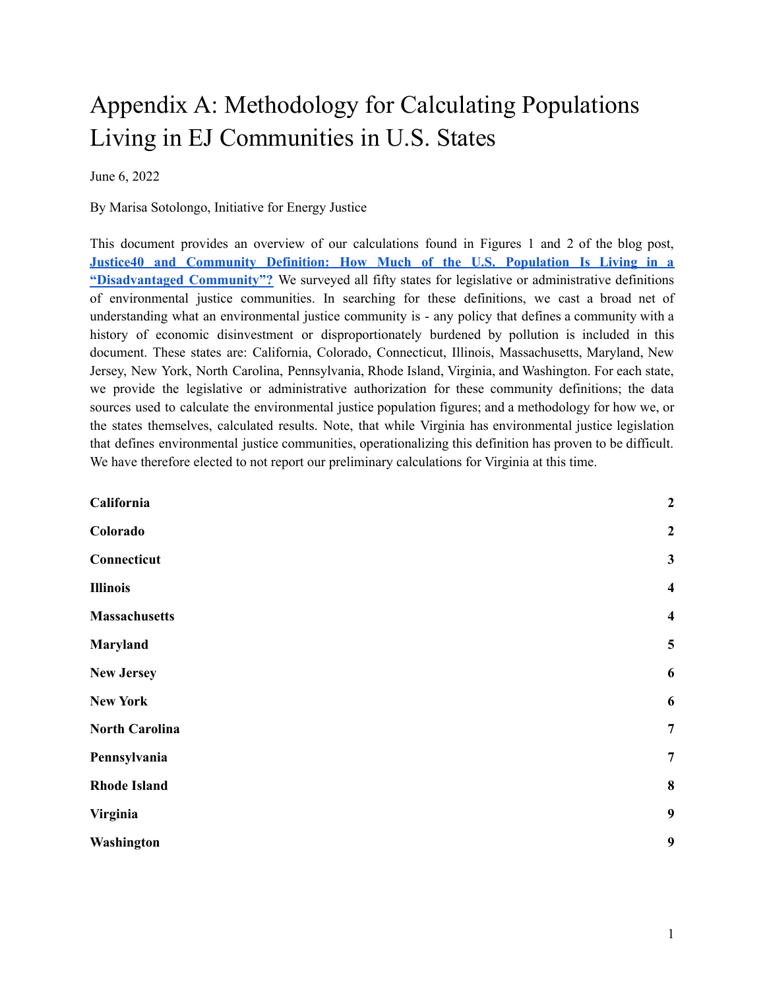# Appendix A: Methodology for Calculating Populations Living in EJ Communities in U.S. States

#### June 6, 2022

By Marisa Sotolongo, Initiative for Energy Justice

This document provides an overview of our calculations found in Figures 1 and 2 of the blog post, **Justice40 and [Community](https://iejusa.org/justice-40-and-community-definition-blog/) Definition: How Much of the U.S. Population Is Living in a ["Disadvantaged](https://iejusa.org/justice-40-and-community-definition-blog/) Community"?** We surveyed all fifty states for legislative or administrative definitions of environmental justice communities. In searching for these definitions, we cast a broad net of understanding what an environmental justice community is - any policy that defines a community with a history of economic disinvestment or disproportionately burdened by pollution is included in this document. These states are: California, Colorado, Connecticut, Illinois, Massachusetts, Maryland, New Jersey, New York, North Carolina, Pennsylvania, Rhode Island, Virginia, and Washington. For each state, we provide the legislative or administrative authorization for these community definitions; the data sources used to calculate the environmental justice population figures; and a methodology for how we, or the states themselves, calculated results. Note, that while Virginia has environmental justice legislation that defines environmental justice communities, operationalizing this definition has proven to be difficult. We have therefore elected to not report our preliminary calculations for Virginia at this time.

| California            | $\boldsymbol{2}$        |
|-----------------------|-------------------------|
| Colorado              | $\boldsymbol{2}$        |
| Connecticut           | $\mathbf{3}$            |
| <b>Illinois</b>       | $\overline{\mathbf{4}}$ |
| <b>Massachusetts</b>  | $\overline{\mathbf{4}}$ |
| Maryland              | $\overline{\mathbf{5}}$ |
| <b>New Jersey</b>     | 6                       |
| <b>New York</b>       | 6                       |
| <b>North Carolina</b> | $\overline{7}$          |
| Pennsylvania          | $\overline{7}$          |
| <b>Rhode Island</b>   | $\bf{8}$                |
| Virginia              | 9                       |
| Washington            | 9                       |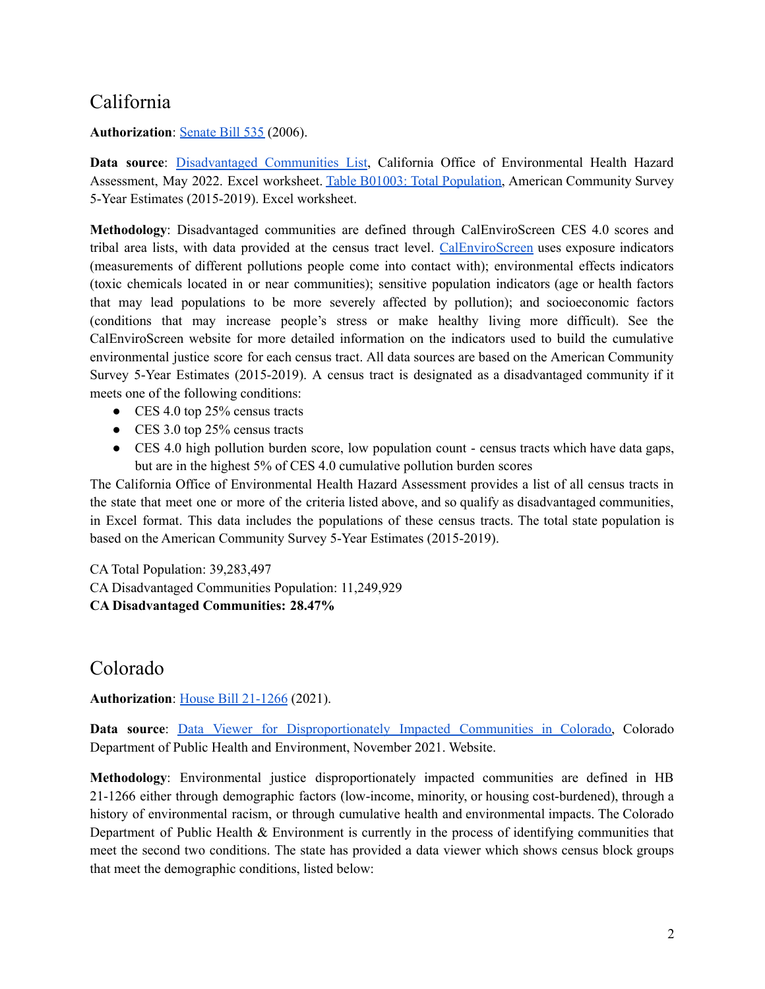# <span id="page-1-0"></span>California

#### **Authorization**: [Senate](https://leginfo.legislature.ca.gov/faces/billNavClient.xhtml?bill_id=201120120SB535#:~:text=The%20act%20requires%20the%20state,of%20market%2Dbased%20compliance%20mechanisms.) Bill 535 (2006).

**Data source**: [Disadvantaged](https://oehha.ca.gov/calenviroscreen/sb535) Communities List, California Office of Environmental Health Hazard Assessment, May 2022. Excel worksheet. Table B01003: Total [Population,](https://data.census.gov/cedsci/table?q=B01003&g=0400000US06&y=2019&tid=ACSDT5Y2019.B01003) American Community Survey 5-Year Estimates (2015-2019). Excel worksheet.

**Methodology**: Disadvantaged communities are defined through CalEnviroScreen CES 4.0 scores and tribal area lists, with data provided at the census tract level. [CalEnviroScreen](https://oehha.ca.gov/calenviroscreen/indicators) uses exposure indicators (measurements of different pollutions people come into contact with); environmental effects indicators (toxic chemicals located in or near communities); sensitive population indicators (age or health factors that may lead populations to be more severely affected by pollution); and socioeconomic factors (conditions that may increase people's stress or make healthy living more difficult). See the CalEnviroScreen website for more detailed information on the indicators used to build the cumulative environmental justice score for each census tract. All data sources are based on the American Community Survey 5-Year Estimates (2015-2019). A census tract is designated as a disadvantaged community if it meets one of the following conditions:

- CES 4.0 top 25% census tracts
- CES 3.0 top 25% census tracts
- CES 4.0 high pollution burden score, low population count census tracts which have data gaps, but are in the highest 5% of CES 4.0 cumulative pollution burden scores

The California Office of Environmental Health Hazard Assessment provides a list of all census tracts in the state that meet one or more of the criteria listed above, and so qualify as disadvantaged communities, in Excel format. This data includes the populations of these census tracts. The total state population is based on the American Community Survey 5-Year Estimates (2015-2019).

CA Total Population: 39,283,497 CA Disadvantaged Communities Population: 11,249,929 **CA Disadvantaged Communities: 28.47%**

## <span id="page-1-1"></span>Colorado

#### **Authorization**: House Bill [21-1266](https://leg.colorado.gov/bills/hb21-1266) (2021).

**Data source:** Data Viewer for [Disproportionately](https://cohealthviz.dphe.state.co.us/t/EnvironmentalEpidemiologyPublic/views/EJActDICommunities-Public/HB21-1266DICommunities?%3AshowAppBanner=false&%3Adisplay_count=n&%3AshowVizHome=n&%3Aorigin=viz_share_link&%3AisGuestRedirectFromVizportal=y&%3Aembed=y) Impacted Communities in Colorado, Colorado Department of Public Health and Environment, November 2021. Website.

**Methodology**: Environmental justice disproportionately impacted communities are defined in HB 21-1266 either through demographic factors (low-income, minority, or housing cost-burdened), through a history of environmental racism, or through cumulative health and environmental impacts. The Colorado Department of Public Health & Environment is currently in the process of identifying communities that meet the second two conditions. The state has provided a data viewer which shows census block groups that meet the demographic conditions, listed below: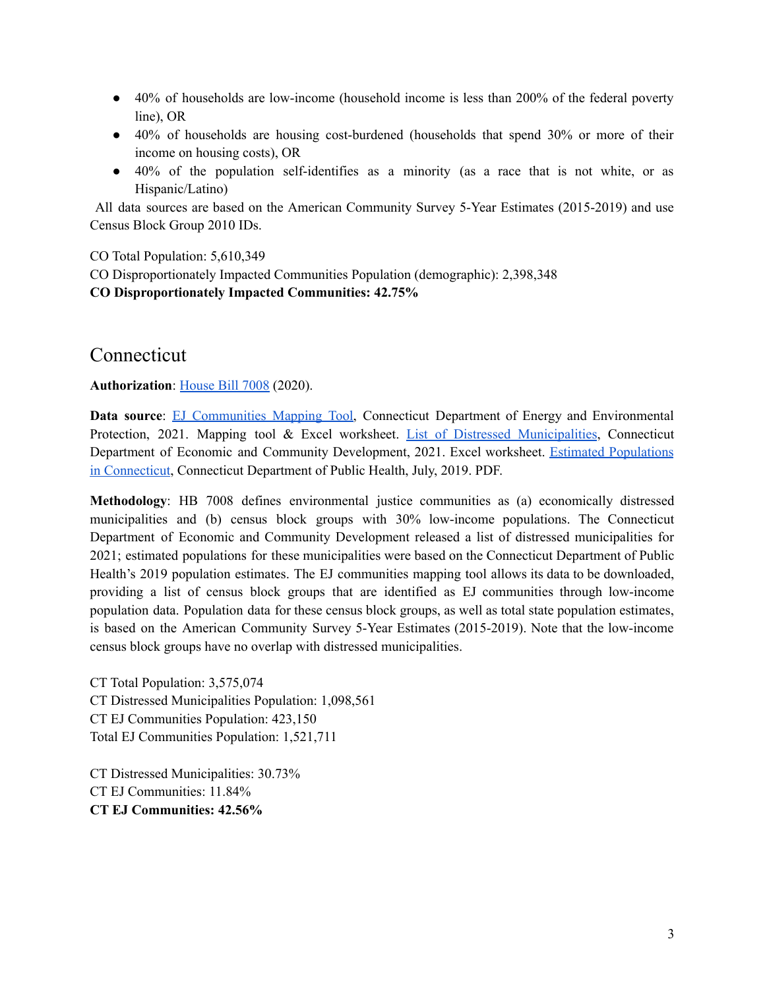- 40% of households are low-income (household income is less than 200% of the federal poverty line), OR
- 40% of households are housing cost-burdened (households that spend 30% or more of their income on housing costs), OR
- 40% of the population self-identifies as a minority (as a race that is not white, or as Hispanic/Latino)

All data sources are based on the American Community Survey 5-Year Estimates (2015-2019) and use Census Block Group 2010 IDs.

CO Total Population: 5,610,349

CO Disproportionately Impacted Communities Population (demographic): 2,398,348

**CO Disproportionately Impacted Communities: 42.75%**

### <span id="page-2-0"></span>Connecticut

**Authorization**: [House](https://www.cga.ct.gov/2020/act/Pa/pdf/2020PA-00006-R00HB-07008SS3-PA.PDF) Bill 7008 (2020).

**Data** source: EJ [Communities](https://ctdeep.maps.arcgis.com/apps/webappviewer/index.html?id=d04ec429d0a4477b9526689dc7809ffe) Mapping Tool, Connecticut Department of Energy and Environmental Protection, 2021. Mapping tool & Excel worksheet. List of Distressed [Municipalities](https://portal.ct.gov/DECD/Content/About_DECD/Research-and-Publications/02_Review_Publications/Distressed-Municipalities), Connecticut Department of Economic and Community Development, 2021. Excel worksheet. Estimated [Populations](https://portal.ct.gov/-/media/Departments-and-Agencies/DPH/Population/Town-Pop/pop_towns2019pdf.pdf) in [Connecticut](https://portal.ct.gov/-/media/Departments-and-Agencies/DPH/Population/Town-Pop/pop_towns2019pdf.pdf), Connecticut Department of Public Health, July, 2019. PDF.

**Methodology**: HB 7008 defines environmental justice communities as (a) economically distressed municipalities and (b) census block groups with 30% low-income populations. The Connecticut Department of Economic and Community Development released a list of distressed municipalities for 2021; estimated populations for these municipalities were based on the Connecticut Department of Public Health's 2019 population estimates. The EJ communities mapping tool allows its data to be downloaded, providing a list of census block groups that are identified as EJ communities through low-income population data. Population data for these census block groups, as well as total state population estimates, is based on the American Community Survey 5-Year Estimates (2015-2019). Note that the low-income census block groups have no overlap with distressed municipalities.

CT Total Population: 3,575,074 CT Distressed Municipalities Population: 1,098,561 CT EJ Communities Population: 423,150 Total EJ Communities Population: 1,521,711

CT Distressed Municipalities: 30.73% CT EJ Communities: 11.84% **CT EJ Communities: 42.56%**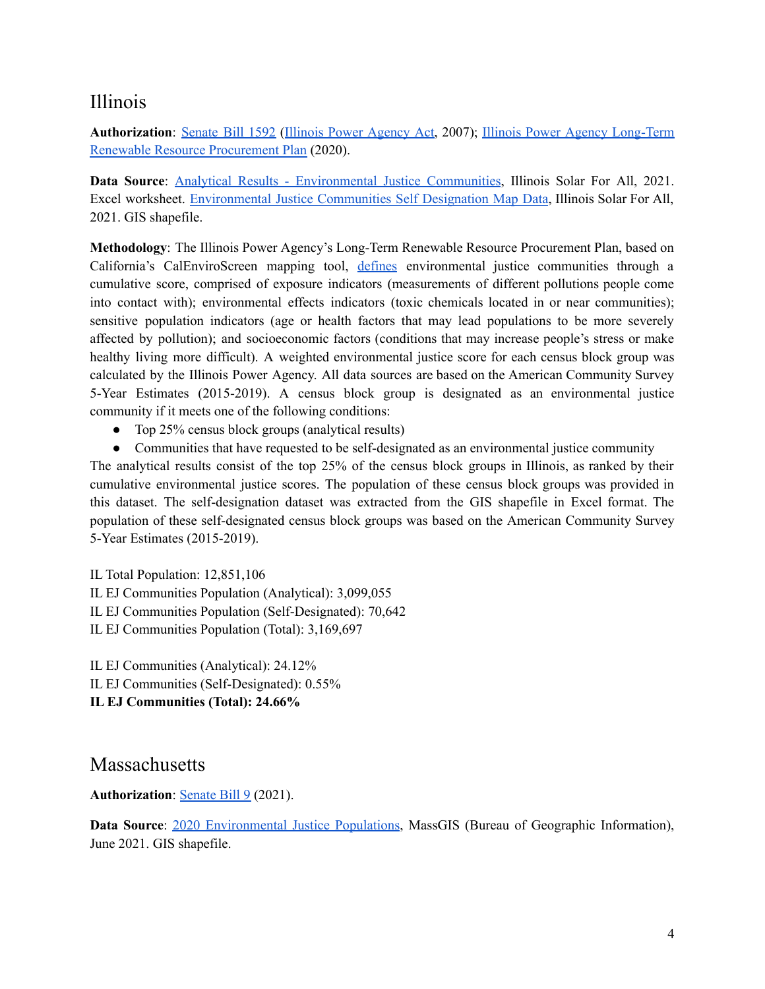### <span id="page-3-0"></span>Illinois

**Authorization**: [Senate](https://www.ilga.gov/legislation/fulltext.asp?DocName=09500SB1592enr&GA=95&SessionId=51&DocTypeId=SB&LegID=29675&DocNum=1592&GAID=9&SpecSess=&Session=) Bill 1592 (Illinois Power [Agency](https://www.ilga.gov/legislation/ilcs/ilcs3.asp?ActID=2934&ChapterID=5) Act, 2007); Illinois Power Agency [Long-Term](https://www2.illinois.gov/sites/ipa/Documents/Draft%20Revised%20Plan%20-%20Summer%202019/Revised%20LTRRPP%20updated%20from%20ICC%20Order%20%2820%20April%202020%29.pdf) Renewable Resource [Procurement](https://www2.illinois.gov/sites/ipa/Documents/Draft%20Revised%20Plan%20-%20Summer%202019/Revised%20LTRRPP%20updated%20from%20ICC%20Order%20%2820%20April%202020%29.pdf) Plan (2020).

**Data Source**: Analytical Results - [Environmental](https://www.illinoissfa.com/environmental-justice-communities/) Justice Communities, Illinois Solar For All, 2021. Excel worksheet. [Environmental](https://www.illinoissfa.com/environmental-justice-communities/) Justice Communities Self Designation Map Data, Illinois Solar For All, 2021. GIS shapefile.

**Methodology**: The Illinois Power Agency's Long-Term Renewable Resource Procurement Plan, based on California's CalEnviroScreen mapping tool, [defines](https://www.illinoissfa.com/environmental-justice-communities/) environmental justice communities through a cumulative score, comprised of exposure indicators (measurements of different pollutions people come into contact with); environmental effects indicators (toxic chemicals located in or near communities); sensitive population indicators (age or health factors that may lead populations to be more severely affected by pollution); and socioeconomic factors (conditions that may increase people's stress or make healthy living more difficult). A weighted environmental justice score for each census block group was calculated by the Illinois Power Agency. All data sources are based on the American Community Survey 5-Year Estimates (2015-2019). A census block group is designated as an environmental justice community if it meets one of the following conditions:

- Top 25% census block groups (analytical results)
- Communities that have requested to be self-designated as an environmental justice community

The analytical results consist of the top 25% of the census block groups in Illinois, as ranked by their cumulative environmental justice scores. The population of these census block groups was provided in this dataset. The self-designation dataset was extracted from the GIS shapefile in Excel format. The population of these self-designated census block groups was based on the American Community Survey 5-Year Estimates (2015-2019).

IL Total Population: 12,851,106 IL EJ Communities Population (Analytical): 3,099,055 IL EJ Communities Population (Self-Designated): 70,642 IL EJ Communities Population (Total): 3,169,697

IL EJ Communities (Analytical): 24.12% IL EJ Communities (Self-Designated): 0.55%

**IL EJ Communities (Total): 24.66%**

### <span id="page-3-1"></span>**Massachusetts**

#### **Authorization:** [Senate](https://malegislature.gov/bills/192/S9) Bill 9 (2021).

**Data Source**: 2020 [Environmental](https://www.mass.gov/info-details/massgis-data-2020-environmental-justice-populations) Justice Populations, MassGIS (Bureau of Geographic Information), June 2021. GIS shapefile.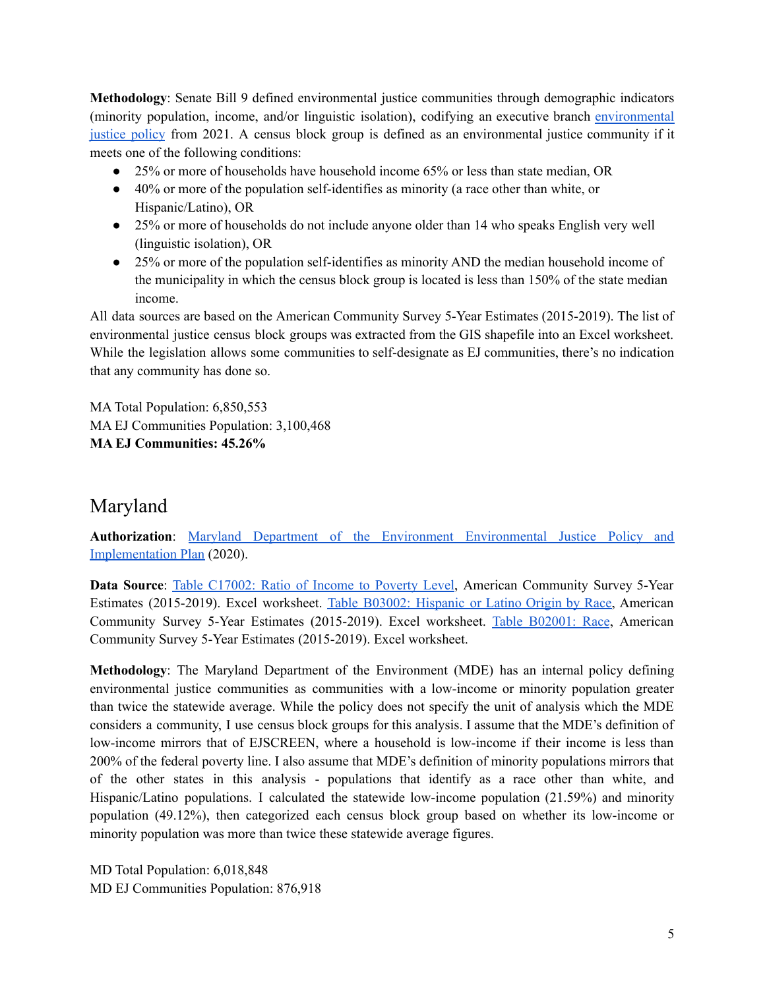**Methodology**: Senate Bill 9 defined environmental justice communities through demographic indicators (minority population, income, and/or linguistic isolation), codifying an executive branch [environmental](https://www.mass.gov/service-details/environmental-justice-policy) [justice](https://www.mass.gov/service-details/environmental-justice-policy) policy from 2021. A census block group is defined as an environmental justice community if it meets one of the following conditions:

- 25% or more of households have household income 65% or less than state median, OR
- 40% or more of the population self-identifies as minority (a race other than white, or Hispanic/Latino), OR
- 25% or more of households do not include anyone older than 14 who speaks English very well (linguistic isolation), OR
- 25% or more of the population self-identifies as minority AND the median household income of the municipality in which the census block group is located is less than 150% of the state median income.

All data sources are based on the American Community Survey 5-Year Estimates (2015-2019). The list of environmental justice census block groups was extracted from the GIS shapefile into an Excel worksheet. While the legislation allows some communities to self-designate as EJ communities, there's no indication that any community has done so.

MA Total Population: 6,850,553 MA EJ Communities Population: 3,100,468 **MA EJ Communities: 45.26%**

## <span id="page-4-0"></span>Maryland

**Authorization**: Maryland Department of the Environment [Environmental](https://mde.maryland.gov/Documents/MDE_EJ_Env%20Justice%20Policy_Final_Dec2020.pdf) Justice Policy and [Implementation](https://mde.maryland.gov/Documents/MDE_EJ_Env%20Justice%20Policy_Final_Dec2020.pdf) Plan (2020).

**Data Source**: Table [C17002:](https://data.census.gov/cedsci/table?q=c17002&g=0400000US24%241500000&y=2019&tid=ACSDT5Y2019.C17002) Ratio of Income to Poverty Level, American Community Survey 5-Year Estimates (2015-2019). Excel worksheet. Table B03002: [Hispanic](https://data.census.gov/cedsci/table?q=b03002&g=0400000US24%241500000&y=2019) or Latino Origin by Race, American Community Survey 5-Year Estimates (2015-2019). Excel worksheet. Table [B02001:](https://data.census.gov/cedsci/table?q=b02001&g=0400000US24%241500000&y=2019) Race, American Community Survey 5-Year Estimates (2015-2019). Excel worksheet.

**Methodology**: The Maryland Department of the Environment (MDE) has an internal policy defining environmental justice communities as communities with a low-income or minority population greater than twice the statewide average. While the policy does not specify the unit of analysis which the MDE considers a community, I use census block groups for this analysis. I assume that the MDE's definition of low-income mirrors that of EJSCREEN, where a household is low-income if their income is less than 200% of the federal poverty line. I also assume that MDE's definition of minority populations mirrors that of the other states in this analysis - populations that identify as a race other than white, and Hispanic/Latino populations. I calculated the statewide low-income population (21.59%) and minority population (49.12%), then categorized each census block group based on whether its low-income or minority population was more than twice these statewide average figures.

MD Total Population: 6,018,848 MD EJ Communities Population: 876,918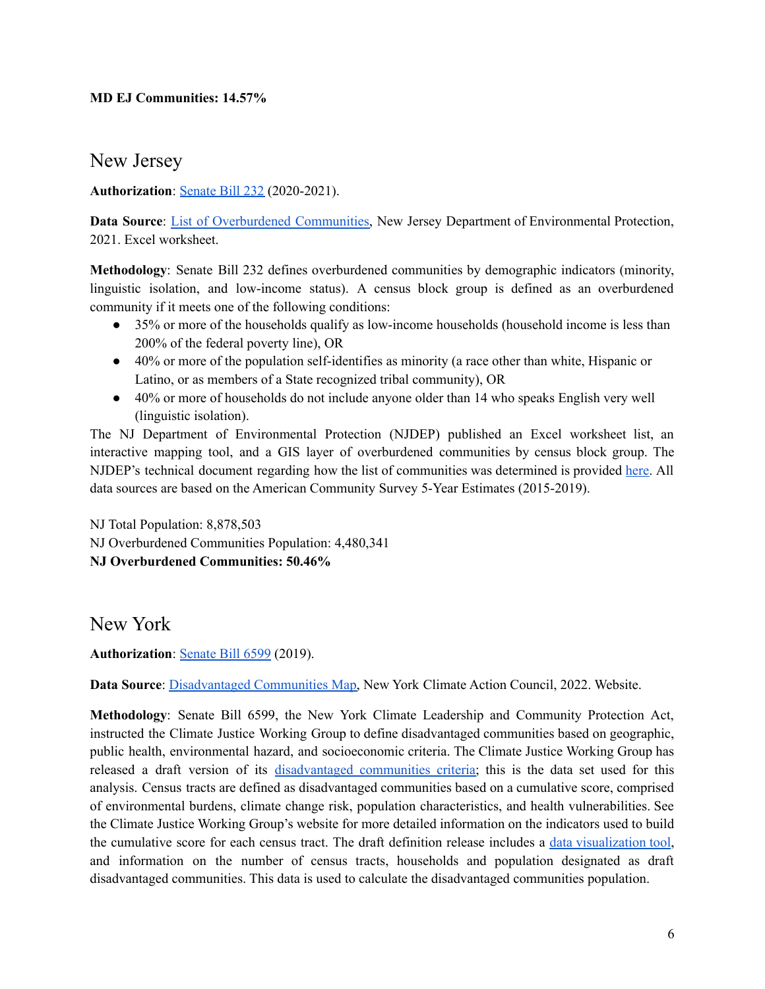#### **MD EJ Communities: 14.57%**

<span id="page-5-0"></span>New Jersey

**Authorization**: [Senate](https://legiscan.com/NJ/text/S232/id/2213004) Bill 232 (2020-2021).

**Data Source**: List of [Overburdened](https://www.nj.gov/dep/ej/communities.html) Communities, New Jersey Department of Environmental Protection, 2021. Excel worksheet.

**Methodology**: Senate Bill 232 defines overburdened communities by demographic indicators (minority, linguistic isolation, and low-income status). A census block group is defined as an overburdened community if it meets one of the following conditions:

- 35% or more of the households qualify as low-income households (household income is less than 200% of the federal poverty line), OR
- 40% or more of the population self-identifies as minority (a race other than white, Hispanic or Latino, or as members of a State recognized tribal community), OR
- 40% or more of households do not include anyone older than 14 who speaks English very well (linguistic isolation).

The NJ Department of Environmental Protection (NJDEP) published an Excel worksheet list, an interactive mapping tool, and a GIS layer of overburdened communities by census block group. The NJDEP's technical document regarding how the list of communities was determined is provided [here.](https://www.nj.gov/dep/ej/docs/obc-technical-document.pdf) All data sources are based on the American Community Survey 5-Year Estimates (2015-2019).

NJ Total Population: 8,878,503 NJ Overburdened Communities Population: 4,480,341 **NJ Overburdened Communities: 50.46%**

<span id="page-5-1"></span>New York

**Authorization**: [Senate](https://www.nysenate.gov/legislation/bills/2019/S6599) Bill 6599 (2019).

**Data Source**: [Disadvantaged](https://climate.ny.gov/Our-Climate-Act/Disadvantaged-Communities-Criteria/Disadvantaged-Communities-Map) Communities Map, New York Climate Action Council, 2022. Website.

**Methodology**: Senate Bill 6599, the New York Climate Leadership and Community Protection Act, instructed the Climate Justice Working Group to define disadvantaged communities based on geographic, public health, environmental hazard, and socioeconomic criteria. The Climate Justice Working Group has released a draft version of its [disadvantaged](https://climate.ny.gov/Our-Climate-Act/Disadvantaged-Communities-Criteria) communities criteria; this is the data set used for this analysis. Census tracts are defined as disadvantaged communities based on a cumulative score, comprised of environmental burdens, climate change risk, population characteristics, and health vulnerabilities. See the Climate Justice Working Group's website for more detailed information on the indicators used to build the cumulative score for each census tract. The draft definition release includes a data [visualization](https://climate.ny.gov/Our-Climate-Act/Disadvantaged-Communities-Criteria/Disadvantaged-Communities-Map) tool, and information on the number of census tracts, households and population designated as draft disadvantaged communities. This data is used to calculate the disadvantaged communities population.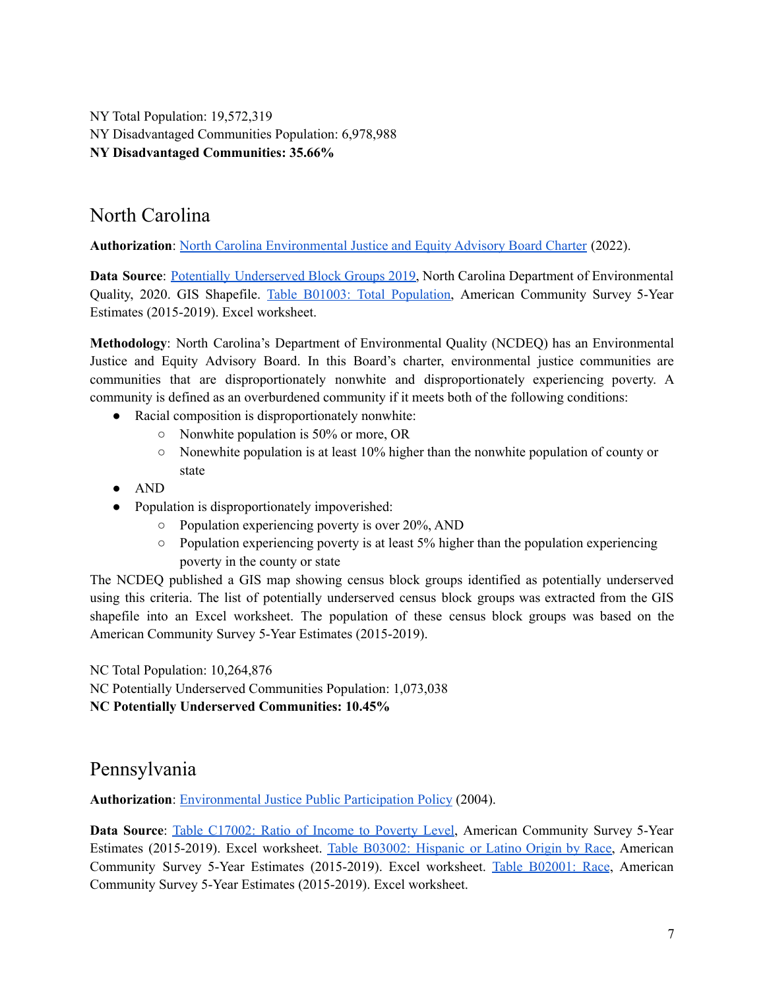NY Total Population: 19,572,319 NY Disadvantaged Communities Population: 6,978,988 **NY Disadvantaged Communities: 35.66%**

### <span id="page-6-0"></span>North Carolina

**Authorization**: North Carolina [Environmental](https://deq.nc.gov/ej/environmental-justice-and-equity-advisory-board-charter-updated-february-2022/download?attachment) Justice and Equity Advisory Board Charter (2022).

**Data Source**: Potentially [Underserved](https://www.arcgis.com/home/item.html?id=13a1aace03134969b8181c1f9f026960) Block Groups 2019, North Carolina Department of Environmental Quality, 2020. GIS Shapefile. Table B01003: Total [Population,](https://data.census.gov/cedsci/table?t=Populations%20and%20People&g=0400000US37%241500000&y=2019&tid=ACSDT5Y2019.B01003) American Community Survey 5-Year Estimates (2015-2019). Excel worksheet.

**Methodology**: North Carolina's Department of Environmental Quality (NCDEQ) has an Environmental Justice and Equity Advisory Board. In this Board's charter, environmental justice communities are communities that are disproportionately nonwhite and disproportionately experiencing poverty. A community is defined as an overburdened community if it meets both of the following conditions:

- Racial composition is disproportionately nonwhite:
	- Nonwhite population is 50% or more, OR
	- $\circ$  Nonewhite population is at least 10% higher than the nonwhite population of county or state
- AND
- Population is disproportionately impoverished:
	- $\circ$  Population experiencing poverty is over 20%, AND
	- $\circ$  Population experiencing poverty is at least 5% higher than the population experiencing poverty in the county or state

The NCDEQ published a GIS map showing census block groups identified as potentially underserved using this criteria. The list of potentially underserved census block groups was extracted from the GIS shapefile into an Excel worksheet. The population of these census block groups was based on the American Community Survey 5-Year Estimates (2015-2019).

NC Total Population: 10,264,876

NC Potentially Underserved Communities Population: 1,073,038

**NC Potentially Underserved Communities: 10.45%**

### <span id="page-6-1"></span>Pennsylvania

**Authorization**: [Environmental](http://www.depgreenport.state.pa.us/elibrary/GetDocument?docId=7918&DocName=ENVIRONMENTAL%20JUSTICE%20PUBLIC%20PARTICIPATION%20POLICY.PDF%20) Justice Public Participation Policy (2004).

**Data Source**: Table [C17002:](https://data.census.gov/cedsci/table?q=C17002&g=0400000US42%241400000&y=2019&tid=ACSDT5Y2019.C17002) Ratio of Income to Poverty Level, American Community Survey 5-Year Estimates (2015-2019). Excel worksheet. Table B03002: [Hispanic](https://data.census.gov/cedsci/table?q=B03002&g=0400000US42%241400000&y=2019&tid=ACSDT5Y2019.B03002) or Latino Origin by Race, American Community Survey 5-Year Estimates (2015-2019). Excel worksheet. Table [B02001:](https://data.census.gov/cedsci/table?q=b02001&g=0400000US42%241400000&y=2019&tid=ACSDT5Y2019.B02001) Race, American Community Survey 5-Year Estimates (2015-2019). Excel worksheet.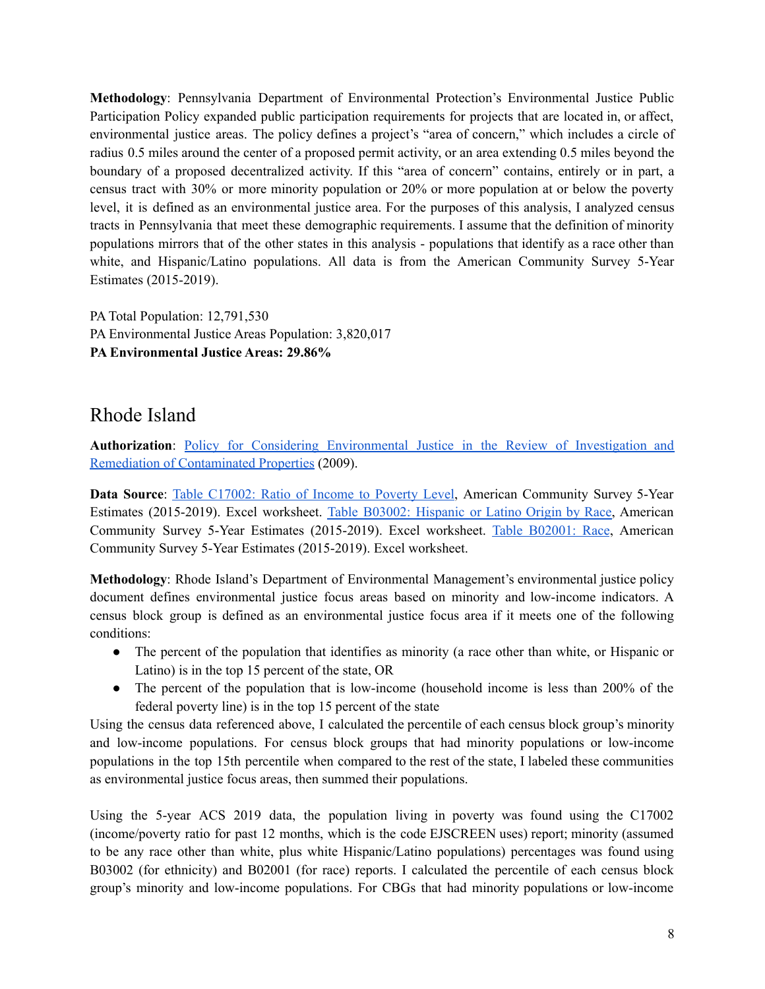**Methodology**: Pennsylvania Department of Environmental Protection's Environmental Justice Public Participation Policy expanded public participation requirements for projects that are located in, or affect, environmental justice areas. The policy defines a project's "area of concern," which includes a circle of radius 0.5 miles around the center of a proposed permit activity, or an area extending 0.5 miles beyond the boundary of a proposed decentralized activity. If this "area of concern" contains, entirely or in part, a census tract with 30% or more minority population or 20% or more population at or below the poverty level, it is defined as an environmental justice area. For the purposes of this analysis, I analyzed census tracts in Pennsylvania that meet these demographic requirements. I assume that the definition of minority populations mirrors that of the other states in this analysis - populations that identify as a race other than white, and Hispanic/Latino populations. All data is from the American Community Survey 5-Year Estimates (2015-2019).

PA Total Population: 12,791,530 PA Environmental Justice Areas Population: 3,820,017 **PA Environmental Justice Areas: 29.86%**

### <span id="page-7-0"></span>Rhode Island

**Authorization**: Policy for Considering [Environmental](http://www.dem.ri.gov/envequity/pdf/ejfinal.pdf) Justice in the Review of Investigation and Remediation of [Contaminated](http://www.dem.ri.gov/envequity/pdf/ejfinal.pdf) Properties (2009).

**Data Source**: Table [C17002:](https://data.census.gov/cedsci/table?q=C17002&g=0400000US44%241500000&y=2019) Ratio of Income to Poverty Level, American Community Survey 5-Year Estimates (2015-2019). Excel worksheet. Table B03002: [Hispanic](https://data.census.gov/cedsci/table?q=B03002&g=0400000US44%241500000&y=2019) or Latino Origin by Race, American Community Survey 5-Year Estimates (2015-2019). Excel worksheet. Table [B02001:](https://data.census.gov/cedsci/table?q=B02001&g=0400000US44%241500000&y=2019) Race, American Community Survey 5-Year Estimates (2015-2019). Excel worksheet.

**Methodology**: Rhode Island's Department of Environmental Management's environmental justice policy document defines environmental justice focus areas based on minority and low-income indicators. A census block group is defined as an environmental justice focus area if it meets one of the following conditions:

- The percent of the population that identifies as minority (a race other than white, or Hispanic or Latino) is in the top 15 percent of the state, OR
- The percent of the population that is low-income (household income is less than 200% of the federal poverty line) is in the top 15 percent of the state

Using the census data referenced above, I calculated the percentile of each census block group's minority and low-income populations. For census block groups that had minority populations or low-income populations in the top 15th percentile when compared to the rest of the state, I labeled these communities as environmental justice focus areas, then summed their populations.

Using the 5-year ACS 2019 data, the population living in poverty was found using the C17002 (income/poverty ratio for past 12 months, which is the code EJSCREEN uses) report; minority (assumed to be any race other than white, plus white Hispanic/Latino populations) percentages was found using B03002 (for ethnicity) and B02001 (for race) reports. I calculated the percentile of each census block group's minority and low-income populations. For CBGs that had minority populations or low-income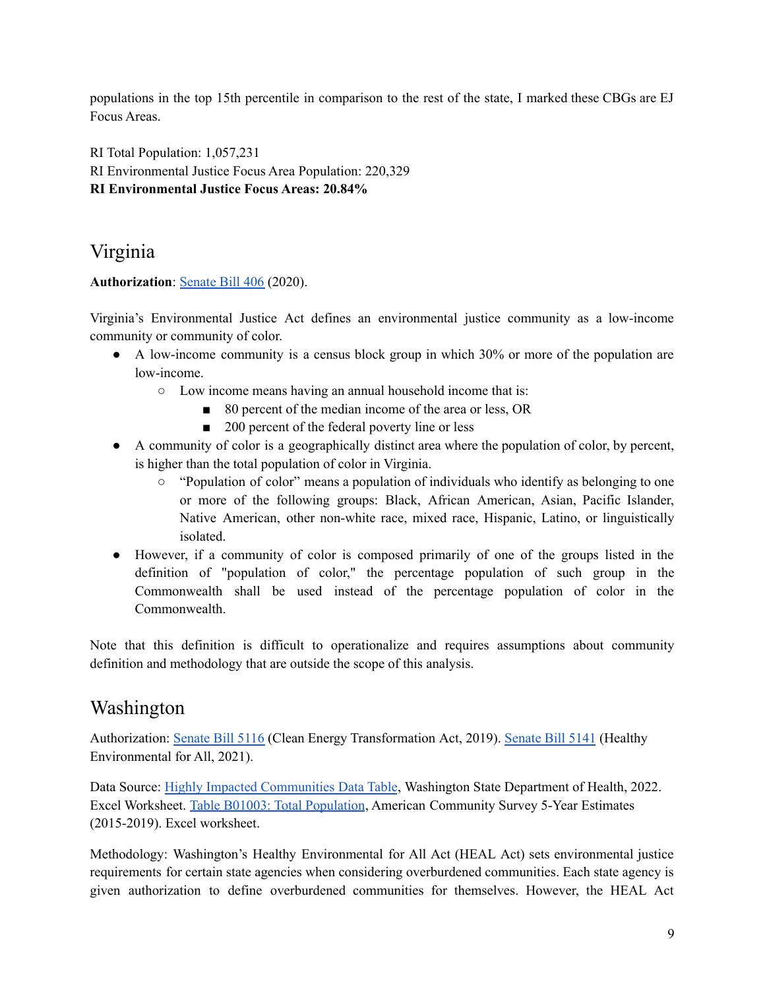populations in the top 15th percentile in comparison to the rest of the state, I marked these CBGs are EJ Focus Areas.

RI Total Population: 1,057,231 RI Environmental Justice Focus Area Population: 220,329

**RI Environmental Justice Focus Areas: 20.84%**

# <span id="page-8-0"></span>Virginia

**Authorization**: [Senate](https://lis.virginia.gov/cgi-bin/legp604.exe?201+ful+CHAP1257) Bill 406 (2020).

Virginia's Environmental Justice Act defines an environmental justice community as a low-income community or community of color.

- A low-income community is a census block group in which 30% or more of the population are low-income.
	- Low income means having an annual household income that is:
		- 80 percent of the median income of the area or less, OR
		- 200 percent of the federal poverty line or less
- A community of color is a geographically distinct area where the population of color, by percent, is higher than the total population of color in Virginia.
	- $\circ$  "Population of color" means a population of individuals who identify as belonging to one or more of the following groups: Black, African American, Asian, Pacific Islander, Native American, other non-white race, mixed race, Hispanic, Latino, or linguistically isolated.
- However, if a community of color is composed primarily of one of the groups listed in the definition of "population of color," the percentage population of such group in the Commonwealth shall be used instead of the percentage population of color in the Commonwealth.

Note that this definition is difficult to operationalize and requires assumptions about community definition and methodology that are outside the scope of this analysis.

## <span id="page-8-1"></span>Washington

Authorization: [Senate](https://app.leg.wa.gov/billsummary?BillNumber=5116&Initiative=false&Year=2019) Bill 5116 (Clean Energy Transformation Act, 2019). [Senate](https://app.leg.wa.gov/billsummary?BillNumber=5141&Initiative=false&Year=2021) Bill 5141 (Healthy Environmental for All, 2021).

Data Source: Highly Impacted [Communities](https://doh.wa.gov/sites/default/files/2022-02/UtilityCETACIADataFile820-128January312022.csv?uid=629cbbba7be33) Data Table, Washington State Department of Health, 2022. Excel Worksheet. Table B01003: Total [Population](https://data.census.gov/cedsci/table?q=B01003&g=0400000US53%241400000&y=2019&tid=ACSDT5Y2019.B01003), American Community Survey 5-Year Estimates (2015-2019). Excel worksheet.

Methodology: Washington's Healthy Environmental for All Act (HEAL Act) sets environmental justice requirements for certain state agencies when considering overburdened communities. Each state agency is given authorization to define overburdened communities for themselves. However, the HEAL Act